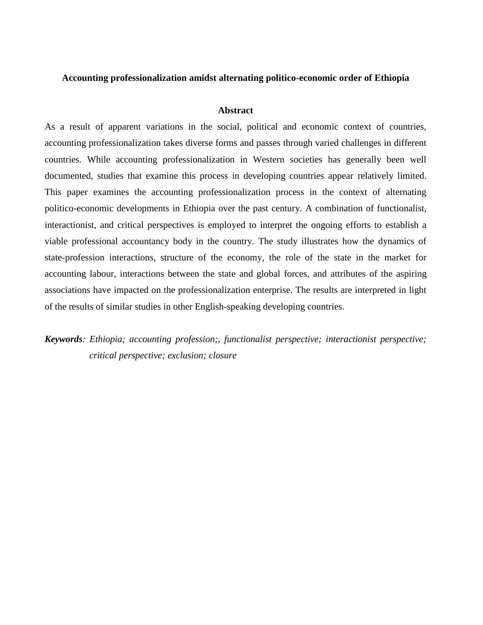# **Accounting professionalization amidst alternating politico-economic order of Ethiopia**

### **Abstract**

As a result of apparent variations in the social, political and economic context of countries, accounting professionalization takes diverse forms and passes through varied challenges in different countries. While accounting professionalization in Western societies has generally been well documented, studies that examine this process in developing countries appear relatively limited. This paper examines the accounting professionalization process in the context of alternating politico-economic developments in Ethiopia over the past century. A combination of functionalist, interactionist, and critical perspectives is employed to interpret the ongoing efforts to establish a viable professional accountancy body in the country. The study illustrates how the dynamics of state-profession interactions, structure of the economy, the role of the state in the market for accounting labour, interactions between the state and global forces, and attributes of the aspiring associations have impacted on the professionalization enterprise. The results are interpreted in light of the results of similar studies in other English-speaking developing countries.

*Keywords: Ethiopia; accounting profession;, functionalist perspective; interactionist perspective; critical perspective; exclusion; closure*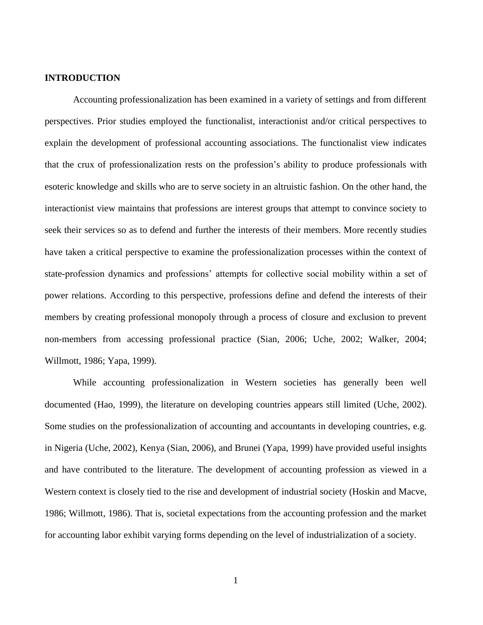# **INTRODUCTION**

Accounting professionalization has been examined in a variety of settings and from different perspectives. Prior studies employed the functionalist, interactionist and/or critical perspectives to explain the development of professional accounting associations. The functionalist view indicates that the crux of professionalization rests on the profession's ability to produce professionals with esoteric knowledge and skills who are to serve society in an altruistic fashion. On the other hand, the interactionist view maintains that professions are interest groups that attempt to convince society to seek their services so as to defend and further the interests of their members. More recently studies have taken a critical perspective to examine the professionalization processes within the context of state-profession dynamics and professions' attempts for collective social mobility within a set of power relations. According to this perspective, professions define and defend the interests of their members by creating professional monopoly through a process of closure and exclusion to prevent non-members from accessing professional practice (Sian, 2006; Uche, 2002; Walker, 2004; Willmott, 1986; Yapa, 1999).

While accounting professionalization in Western societies has generally been well documented (Hao, 1999), the literature on developing countries appears still limited (Uche, 2002). Some studies on the professionalization of accounting and accountants in developing countries, e.g. in Nigeria (Uche, 2002), Kenya (Sian, 2006), and Brunei (Yapa, 1999) have provided useful insights and have contributed to the literature. The development of accounting profession as viewed in a Western context is closely tied to the rise and development of industrial society (Hoskin and Macve, 1986; Willmott, 1986). That is, societal expectations from the accounting profession and the market for accounting labor exhibit varying forms depending on the level of industrialization of a society.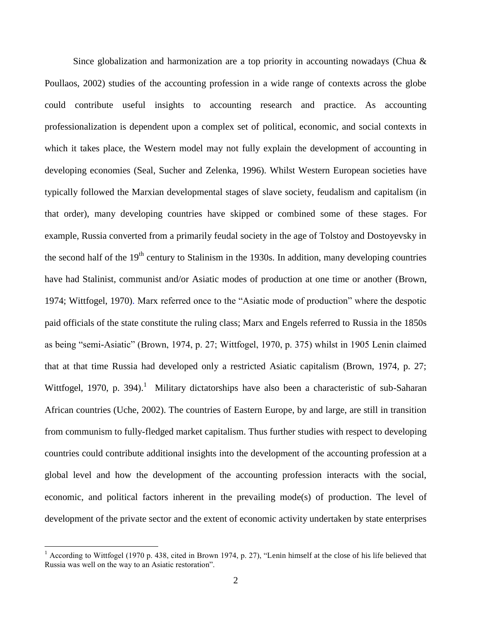Since globalization and harmonization are a top priority in accounting nowadays (Chua & Poullaos, 2002) studies of the accounting profession in a wide range of contexts across the globe could contribute useful insights to accounting research and practice. As accounting professionalization is dependent upon a complex set of political, economic, and social contexts in which it takes place, the Western model may not fully explain the development of accounting in developing economies (Seal, Sucher and Zelenka, 1996). Whilst Western European societies have typically followed the Marxian developmental stages of slave society, feudalism and capitalism (in that order), many developing countries have skipped or combined some of these stages. For example, Russia converted from a primarily feudal society in the age of Tolstoy and Dostoyevsky in the second half of the  $19<sup>th</sup>$  century to Stalinism in the 1930s. In addition, many developing countries have had Stalinist, communist and/or Asiatic modes of production at one time or another (Brown, 1974; Wittfogel, 1970). Marx referred once to the "Asiatic mode of production" where the despotic paid officials of the state constitute the ruling class; Marx and Engels referred to Russia in the 1850s as being "semi-Asiatic" (Brown, 1974, p. 27; Wittfogel, 1970, p. 375) whilst in 1905 Lenin claimed that at that time Russia had developed only a restricted Asiatic capitalism (Brown, 1974, p. 27; Wittfogel, 1970, p. 394).<sup>1</sup> Military dictatorships have also been a characteristic of sub-Saharan African countries (Uche, 2002). The countries of Eastern Europe, by and large, are still in transition from communism to fully-fledged market capitalism. Thus further studies with respect to developing countries could contribute additional insights into the development of the accounting profession at a global level and how the development of the accounting profession interacts with the social, economic, and political factors inherent in the prevailing mode(s) of production. The level of development of the private sector and the extent of economic activity undertaken by state enterprises

 $\overline{a}$ 

 $1$  According to Wittfogel (1970 p. 438, cited in Brown 1974, p. 27), "Lenin himself at the close of his life believed that Russia was well on the way to an Asiatic restoration".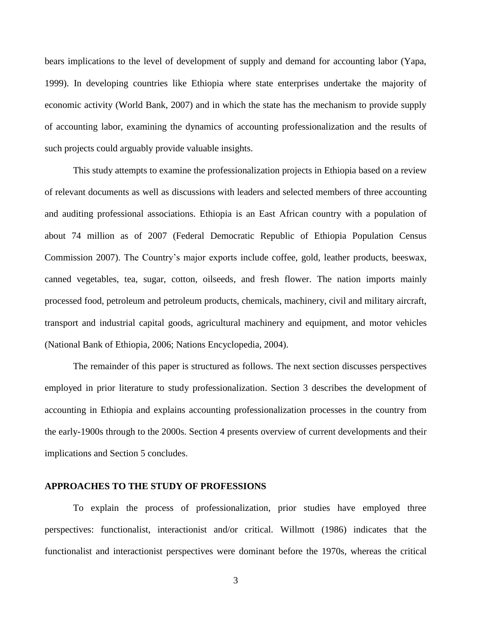bears implications to the level of development of supply and demand for accounting labor (Yapa, 1999). In developing countries like Ethiopia where state enterprises undertake the majority of economic activity (World Bank, 2007) and in which the state has the mechanism to provide supply of accounting labor, examining the dynamics of accounting professionalization and the results of such projects could arguably provide valuable insights.

This study attempts to examine the professionalization projects in Ethiopia based on a review of relevant documents as well as discussions with leaders and selected members of three accounting and auditing professional associations. Ethiopia is an East African country with a population of about 74 million as of 2007 (Federal Democratic Republic of Ethiopia Population Census Commission 2007). The Country's major exports include coffee, gold, leather products, beeswax, canned vegetables, tea, sugar, cotton, oilseeds, and fresh flower. The nation imports mainly processed food, petroleum and petroleum products, chemicals, machinery, civil and military aircraft, transport and industrial capital goods, agricultural machinery and equipment, and motor vehicles (National Bank of Ethiopia, 2006; Nations Encyclopedia, 2004).

The remainder of this paper is structured as follows. The next section discusses perspectives employed in prior literature to study professionalization. Section 3 describes the development of accounting in Ethiopia and explains accounting professionalization processes in the country from the early-1900s through to the 2000s. Section 4 presents overview of current developments and their implications and Section 5 concludes.

# **APPROACHES TO THE STUDY OF PROFESSIONS**

To explain the process of professionalization, prior studies have employed three perspectives: functionalist, interactionist and/or critical. Willmott (1986) indicates that the functionalist and interactionist perspectives were dominant before the 1970s, whereas the critical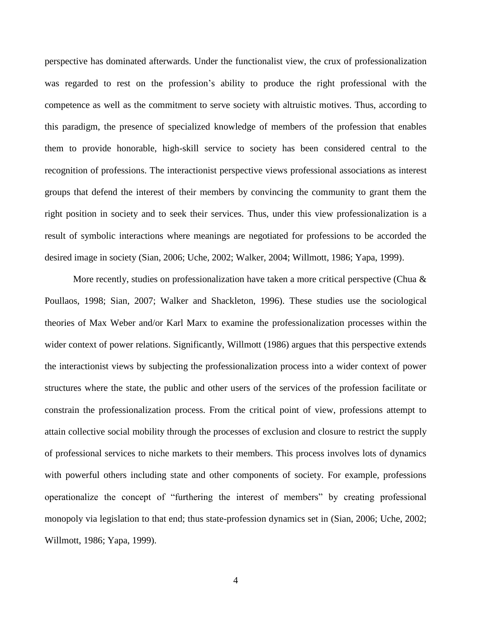perspective has dominated afterwards. Under the functionalist view, the crux of professionalization was regarded to rest on the profession's ability to produce the right professional with the competence as well as the commitment to serve society with altruistic motives. Thus, according to this paradigm, the presence of specialized knowledge of members of the profession that enables them to provide honorable, high-skill service to society has been considered central to the recognition of professions. The interactionist perspective views professional associations as interest groups that defend the interest of their members by convincing the community to grant them the right position in society and to seek their services. Thus, under this view professionalization is a result of symbolic interactions where meanings are negotiated for professions to be accorded the desired image in society (Sian, 2006; Uche, 2002; Walker, 2004; Willmott, 1986; Yapa, 1999).

More recently, studies on professionalization have taken a more critical perspective (Chua & Poullaos, 1998; Sian, 2007; Walker and Shackleton, 1996). These studies use the sociological theories of Max Weber and/or Karl Marx to examine the professionalization processes within the wider context of power relations. Significantly, Willmott (1986) argues that this perspective extends the interactionist views by subjecting the professionalization process into a wider context of power structures where the state, the public and other users of the services of the profession facilitate or constrain the professionalization process. From the critical point of view, professions attempt to attain collective social mobility through the processes of exclusion and closure to restrict the supply of professional services to niche markets to their members. This process involves lots of dynamics with powerful others including state and other components of society. For example, professions operationalize the concept of "furthering the interest of members" by creating professional monopoly via legislation to that end; thus state-profession dynamics set in (Sian, 2006; Uche, 2002; Willmott, 1986; Yapa, 1999).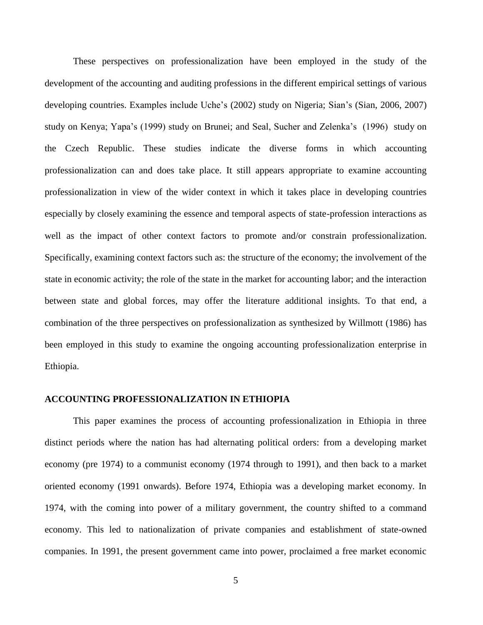These perspectives on professionalization have been employed in the study of the development of the accounting and auditing professions in the different empirical settings of various developing countries. Examples include Uche's (2002) study on Nigeria; Sian's (Sian, 2006, 2007) study on Kenya; Yapa's (1999) study on Brunei; and Seal, Sucher and Zelenka's (1996) study on the Czech Republic. These studies indicate the diverse forms in which accounting professionalization can and does take place. It still appears appropriate to examine accounting professionalization in view of the wider context in which it takes place in developing countries especially by closely examining the essence and temporal aspects of state-profession interactions as well as the impact of other context factors to promote and/or constrain professionalization. Specifically, examining context factors such as: the structure of the economy; the involvement of the state in economic activity; the role of the state in the market for accounting labor; and the interaction between state and global forces, may offer the literature additional insights. To that end, a combination of the three perspectives on professionalization as synthesized by Willmott (1986) has been employed in this study to examine the ongoing accounting professionalization enterprise in Ethiopia.

# **ACCOUNTING PROFESSIONALIZATION IN ETHIOPIA**

This paper examines the process of accounting professionalization in Ethiopia in three distinct periods where the nation has had alternating political orders: from a developing market economy (pre 1974) to a communist economy (1974 through to 1991), and then back to a market oriented economy (1991 onwards). Before 1974, Ethiopia was a developing market economy. In 1974, with the coming into power of a military government, the country shifted to a command economy. This led to nationalization of private companies and establishment of state-owned companies. In 1991, the present government came into power, proclaimed a free market economic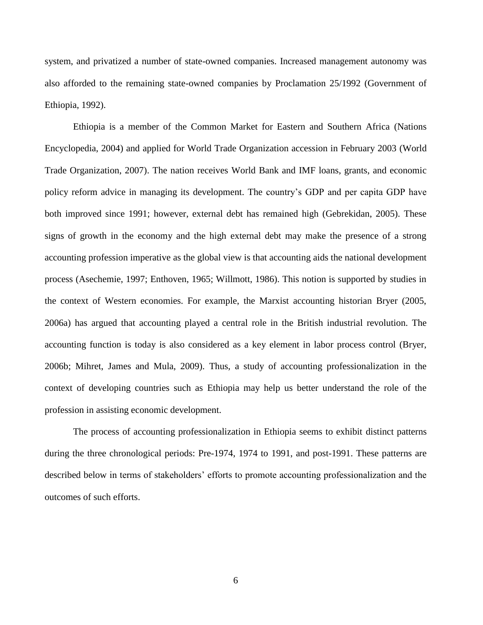system, and privatized a number of state-owned companies. Increased management autonomy was also afforded to the remaining state-owned companies by Proclamation 25/1992 (Government of Ethiopia, 1992).

Ethiopia is a member of the Common Market for Eastern and Southern Africa (Nations Encyclopedia, 2004) and applied for World Trade Organization accession in February 2003 (World Trade Organization, 2007). The nation receives World Bank and IMF loans, grants, and economic policy reform advice in managing its development. The country's GDP and per capita GDP have both improved since 1991; however, external debt has remained high (Gebrekidan, 2005). These signs of growth in the economy and the high external debt may make the presence of a strong accounting profession imperative as the global view is that accounting aids the national development process (Asechemie, 1997; Enthoven, 1965; Willmott, 1986). This notion is supported by studies in the context of Western economies. For example, the Marxist accounting historian Bryer (2005, 2006a) has argued that accounting played a central role in the British industrial revolution. The accounting function is today is also considered as a key element in labor process control (Bryer, 2006b; Mihret, James and Mula, 2009). Thus, a study of accounting professionalization in the context of developing countries such as Ethiopia may help us better understand the role of the profession in assisting economic development.

The process of accounting professionalization in Ethiopia seems to exhibit distinct patterns during the three chronological periods: Pre-1974, 1974 to 1991, and post-1991. These patterns are described below in terms of stakeholders' efforts to promote accounting professionalization and the outcomes of such efforts.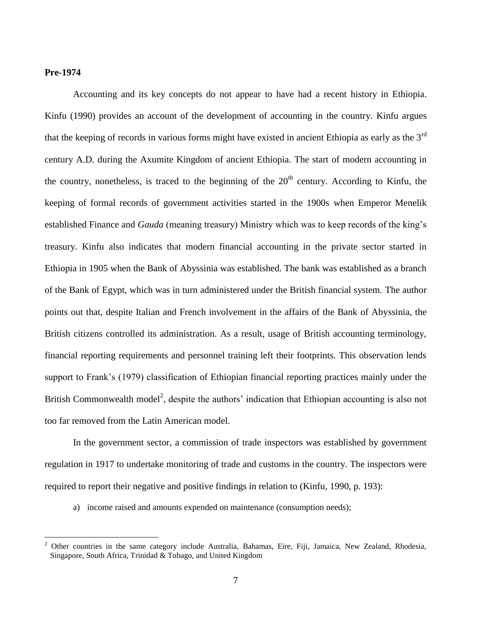### **Pre-1974**

 $\overline{a}$ 

Accounting and its key concepts do not appear to have had a recent history in Ethiopia. Kinfu (1990) provides an account of the development of accounting in the country. Kinfu argues that the keeping of records in various forms might have existed in ancient Ethiopia as early as the  $3<sup>rd</sup>$ century A.D. during the Axumite Kingdom of ancient Ethiopia. The start of modern accounting in the country, nonetheless, is traced to the beginning of the  $20<sup>th</sup>$  century. According to Kinfu, the keeping of formal records of government activities started in the 1900s when Emperor Menelik established Finance and *Gauda* (meaning treasury) Ministry which was to keep records of the king's treasury. Kinfu also indicates that modern financial accounting in the private sector started in Ethiopia in 1905 when the Bank of Abyssinia was established. The bank was established as a branch of the Bank of Egypt, which was in turn administered under the British financial system. The author points out that, despite Italian and French involvement in the affairs of the Bank of Abyssinia, the British citizens controlled its administration. As a result, usage of British accounting terminology, financial reporting requirements and personnel training left their footprints. This observation lends support to Frank's (1979) classification of Ethiopian financial reporting practices mainly under the British Commonwealth model<sup>2</sup>, despite the authors' indication that Ethiopian accounting is also not too far removed from the Latin American model.

In the government sector, a commission of trade inspectors was established by government regulation in 1917 to undertake monitoring of trade and customs in the country. The inspectors were required to report their negative and positive findings in relation to (Kinfu, 1990, p. 193):

a) income raised and amounts expended on maintenance (consumption needs);

<sup>&</sup>lt;sup>2</sup> Other countries in the same category include Australia, Bahamas, Eire, Fiji, Jamaica, New Zealand, Rhodesia, Singapore, South Africa, Trinidad & Tobago, and United Kingdom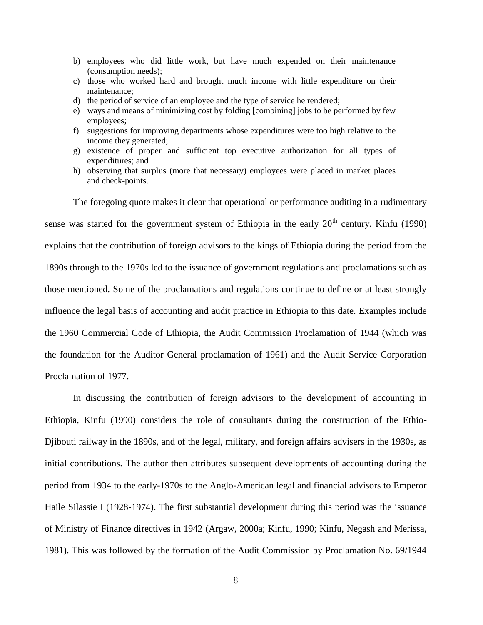- b) employees who did little work, but have much expended on their maintenance (consumption needs);
- c) those who worked hard and brought much income with little expenditure on their maintenance;
- d) the period of service of an employee and the type of service he rendered;
- e) ways and means of minimizing cost by folding [combining] jobs to be performed by few employees;
- f) suggestions for improving departments whose expenditures were too high relative to the income they generated;
- g) existence of proper and sufficient top executive authorization for all types of expenditures; and
- h) observing that surplus (more that necessary) employees were placed in market places and check-points.

The foregoing quote makes it clear that operational or performance auditing in a rudimentary sense was started for the government system of Ethiopia in the early  $20<sup>th</sup>$  century. Kinfu (1990) explains that the contribution of foreign advisors to the kings of Ethiopia during the period from the 1890s through to the 1970s led to the issuance of government regulations and proclamations such as those mentioned. Some of the proclamations and regulations continue to define or at least strongly influence the legal basis of accounting and audit practice in Ethiopia to this date. Examples include the 1960 Commercial Code of Ethiopia, the Audit Commission Proclamation of 1944 (which was the foundation for the Auditor General proclamation of 1961) and the Audit Service Corporation Proclamation of 1977.

In discussing the contribution of foreign advisors to the development of accounting in Ethiopia, Kinfu (1990) considers the role of consultants during the construction of the Ethio-Djibouti railway in the 1890s, and of the legal, military, and foreign affairs advisers in the 1930s, as initial contributions. The author then attributes subsequent developments of accounting during the period from 1934 to the early-1970s to the Anglo-American legal and financial advisors to Emperor Haile Silassie I (1928-1974). The first substantial development during this period was the issuance of Ministry of Finance directives in 1942 (Argaw, 2000a; Kinfu, 1990; Kinfu, Negash and Merissa, 1981). This was followed by the formation of the Audit Commission by Proclamation No. 69/1944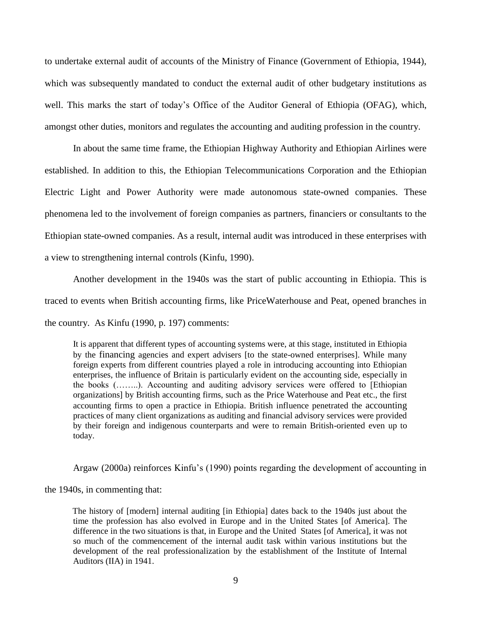to undertake external audit of accounts of the Ministry of Finance (Government of Ethiopia, 1944), which was subsequently mandated to conduct the external audit of other budgetary institutions as well. This marks the start of today's Office of the Auditor General of Ethiopia (OFAG), which, amongst other duties, monitors and regulates the accounting and auditing profession in the country.

In about the same time frame, the Ethiopian Highway Authority and Ethiopian Airlines were established. In addition to this, the Ethiopian Telecommunications Corporation and the Ethiopian Electric Light and Power Authority were made autonomous state-owned companies. These phenomena led to the involvement of foreign companies as partners, financiers or consultants to the Ethiopian state-owned companies. As a result, internal audit was introduced in these enterprises with a view to strengthening internal controls (Kinfu, 1990).

Another development in the 1940s was the start of public accounting in Ethiopia. This is traced to events when British accounting firms, like PriceWaterhouse and Peat, opened branches in the country. As Kinfu (1990, p. 197) comments:

It is apparent that different types of accounting systems were, at this stage, instituted in Ethiopia by the financing agencies and expert advisers [to the state-owned enterprises]. While many foreign experts from different countries played a role in introducing accounting into Ethiopian enterprises, the influence of Britain is particularly evident on the accounting side, especially in the books (……..). Accounting and auditing advisory services were offered to [Ethiopian organizations] by British accounting firms, such as the Price Waterhouse and Peat etc., the first accounting firms to open a practice in Ethiopia. British influence penetrated the accounting practices of many client organizations as auditing and financial advisory services were provided by their foreign and indigenous counterparts and were to remain British-oriented even up to today.

Argaw (2000a) reinforces Kinfu's (1990) points regarding the development of accounting in

the 1940s, in commenting that:

The history of [modern] internal auditing [in Ethiopia] dates back to the 1940s just about the time the profession has also evolved in Europe and in the United States [of America]. The difference in the two situations is that, in Europe and the United States [of America], it was not so much of the commencement of the internal audit task within various institutions but the development of the real professionalization by the establishment of the Institute of Internal Auditors (IIA) in 1941.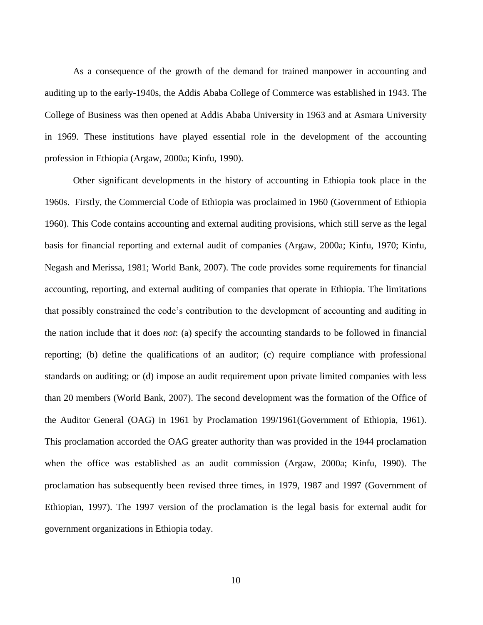As a consequence of the growth of the demand for trained manpower in accounting and auditing up to the early-1940s, the Addis Ababa College of Commerce was established in 1943. The College of Business was then opened at Addis Ababa University in 1963 and at Asmara University in 1969. These institutions have played essential role in the development of the accounting profession in Ethiopia (Argaw, 2000a; Kinfu, 1990).

Other significant developments in the history of accounting in Ethiopia took place in the 1960s. Firstly, the Commercial Code of Ethiopia was proclaimed in 1960 (Government of Ethiopia 1960). This Code contains accounting and external auditing provisions, which still serve as the legal basis for financial reporting and external audit of companies (Argaw, 2000a; Kinfu, 1970; Kinfu, Negash and Merissa, 1981; World Bank, 2007). The code provides some requirements for financial accounting, reporting, and external auditing of companies that operate in Ethiopia. The limitations that possibly constrained the code's contribution to the development of accounting and auditing in the nation include that it does *not*: (a) specify the accounting standards to be followed in financial reporting; (b) define the qualifications of an auditor; (c) require compliance with professional standards on auditing; or (d) impose an audit requirement upon private limited companies with less than 20 members (World Bank, 2007). The second development was the formation of the Office of the Auditor General (OAG) in 1961 by Proclamation 199/1961(Government of Ethiopia, 1961). This proclamation accorded the OAG greater authority than was provided in the 1944 proclamation when the office was established as an audit commission (Argaw, 2000a; Kinfu, 1990). The proclamation has subsequently been revised three times, in 1979, 1987 and 1997 (Government of Ethiopian, 1997). The 1997 version of the proclamation is the legal basis for external audit for government organizations in Ethiopia today.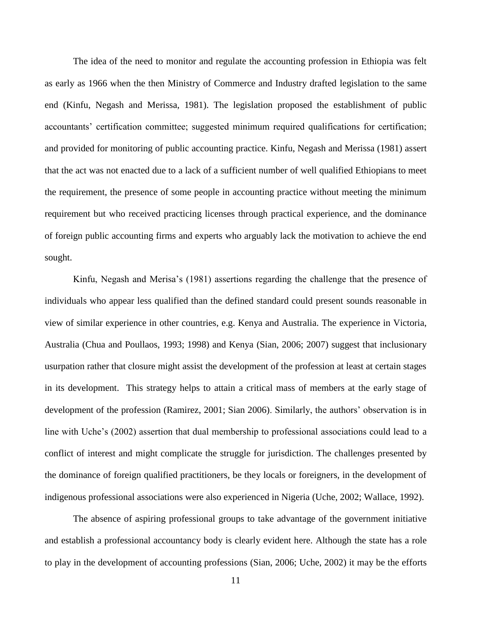The idea of the need to monitor and regulate the accounting profession in Ethiopia was felt as early as 1966 when the then Ministry of Commerce and Industry drafted legislation to the same end (Kinfu, Negash and Merissa, 1981). The legislation proposed the establishment of public accountants' certification committee; suggested minimum required qualifications for certification; and provided for monitoring of public accounting practice. Kinfu, Negash and Merissa (1981) assert that the act was not enacted due to a lack of a sufficient number of well qualified Ethiopians to meet the requirement, the presence of some people in accounting practice without meeting the minimum requirement but who received practicing licenses through practical experience, and the dominance of foreign public accounting firms and experts who arguably lack the motivation to achieve the end sought.

Kinfu, Negash and Merisa's (1981) assertions regarding the challenge that the presence of individuals who appear less qualified than the defined standard could present sounds reasonable in view of similar experience in other countries, e.g. Kenya and Australia. The experience in Victoria, Australia (Chua and Poullaos, 1993; 1998) and Kenya (Sian, 2006; 2007) suggest that inclusionary usurpation rather that closure might assist the development of the profession at least at certain stages in its development. This strategy helps to attain a critical mass of members at the early stage of development of the profession (Ramirez, 2001; Sian 2006). Similarly, the authors' observation is in line with Uche's (2002) assertion that dual membership to professional associations could lead to a conflict of interest and might complicate the struggle for jurisdiction. The challenges presented by the dominance of foreign qualified practitioners, be they locals or foreigners, in the development of indigenous professional associations were also experienced in Nigeria (Uche, 2002; Wallace, 1992).

The absence of aspiring professional groups to take advantage of the government initiative and establish a professional accountancy body is clearly evident here. Although the state has a role to play in the development of accounting professions (Sian, 2006; Uche, 2002) it may be the efforts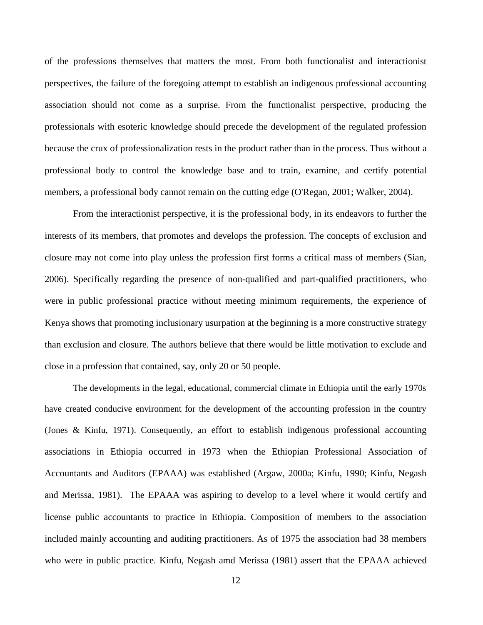of the professions themselves that matters the most. From both functionalist and interactionist perspectives, the failure of the foregoing attempt to establish an indigenous professional accounting association should not come as a surprise. From the functionalist perspective, producing the professionals with esoteric knowledge should precede the development of the regulated profession because the crux of professionalization rests in the product rather than in the process. Thus without a professional body to control the knowledge base and to train, examine, and certify potential members, a professional body cannot remain on the cutting edge (O'Regan, 2001; Walker, 2004).

From the interactionist perspective, it is the professional body, in its endeavors to further the interests of its members, that promotes and develops the profession. The concepts of exclusion and closure may not come into play unless the profession first forms a critical mass of members (Sian, 2006). Specifically regarding the presence of non-qualified and part-qualified practitioners, who were in public professional practice without meeting minimum requirements, the experience of Kenya shows that promoting inclusionary usurpation at the beginning is a more constructive strategy than exclusion and closure. The authors believe that there would be little motivation to exclude and close in a profession that contained, say, only 20 or 50 people.

The developments in the legal, educational, commercial climate in Ethiopia until the early 1970s have created conducive environment for the development of the accounting profession in the country (Jones & Kinfu, 1971). Consequently, an effort to establish indigenous professional accounting associations in Ethiopia occurred in 1973 when the Ethiopian Professional Association of Accountants and Auditors (EPAAA) was established (Argaw, 2000a; Kinfu, 1990; Kinfu, Negash and Merissa, 1981). The EPAAA was aspiring to develop to a level where it would certify and license public accountants to practice in Ethiopia. Composition of members to the association included mainly accounting and auditing practitioners. As of 1975 the association had 38 members who were in public practice. Kinfu, Negash amd Merissa (1981) assert that the EPAAA achieved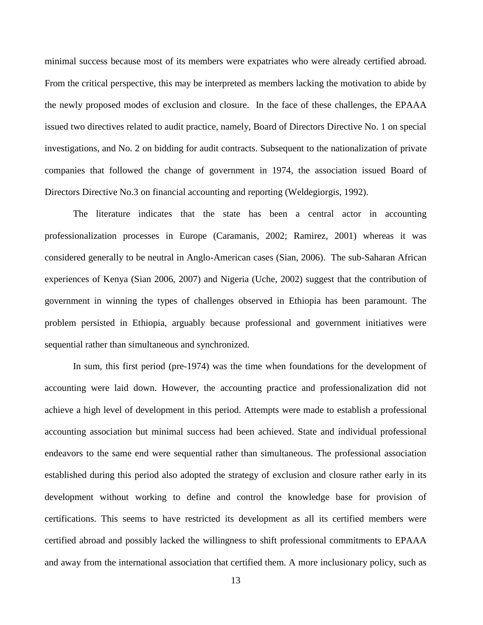minimal success because most of its members were expatriates who were already certified abroad. From the critical perspective, this may be interpreted as members lacking the motivation to abide by the newly proposed modes of exclusion and closure. In the face of these challenges, the EPAAA issued two directives related to audit practice, namely, Board of Directors Directive No. 1 on special investigations, and No. 2 on bidding for audit contracts. Subsequent to the nationalization of private companies that followed the change of government in 1974, the association issued Board of Directors Directive No.3 on financial accounting and reporting (Weldegiorgis, 1992).

The literature indicates that the state has been a central actor in accounting professionalization processes in Europe (Caramanis, 2002; Ramirez, 2001) whereas it was considered generally to be neutral in Anglo-American cases (Sian, 2006). The sub-Saharan African experiences of Kenya (Sian 2006, 2007) and Nigeria (Uche, 2002) suggest that the contribution of government in winning the types of challenges observed in Ethiopia has been paramount. The problem persisted in Ethiopia, arguably because professional and government initiatives were sequential rather than simultaneous and synchronized.

In sum, this first period (pre-1974) was the time when foundations for the development of accounting were laid down. However, the accounting practice and professionalization did not achieve a high level of development in this period. Attempts were made to establish a professional accounting association but minimal success had been achieved. State and individual professional endeavors to the same end were sequential rather than simultaneous. The professional association established during this period also adopted the strategy of exclusion and closure rather early in its development without working to define and control the knowledge base for provision of certifications. This seems to have restricted its development as all its certified members were certified abroad and possibly lacked the willingness to shift professional commitments to EPAAA and away from the international association that certified them. A more inclusionary policy, such as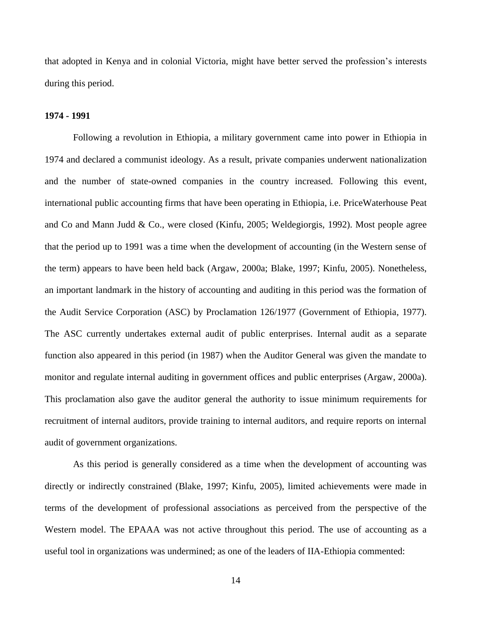that adopted in Kenya and in colonial Victoria, might have better served the profession's interests during this period.

### **1974 - 1991**

Following a revolution in Ethiopia, a military government came into power in Ethiopia in 1974 and declared a communist ideology. As a result, private companies underwent nationalization and the number of state-owned companies in the country increased. Following this event, international public accounting firms that have been operating in Ethiopia, i.e. PriceWaterhouse Peat and Co and Mann Judd & Co., were closed (Kinfu, 2005; Weldegiorgis, 1992). Most people agree that the period up to 1991 was a time when the development of accounting (in the Western sense of the term) appears to have been held back (Argaw, 2000a; Blake, 1997; Kinfu, 2005). Nonetheless, an important landmark in the history of accounting and auditing in this period was the formation of the Audit Service Corporation (ASC) by Proclamation 126/1977 (Government of Ethiopia, 1977). The ASC currently undertakes external audit of public enterprises. Internal audit as a separate function also appeared in this period (in 1987) when the Auditor General was given the mandate to monitor and regulate internal auditing in government offices and public enterprises (Argaw, 2000a). This proclamation also gave the auditor general the authority to issue minimum requirements for recruitment of internal auditors, provide training to internal auditors, and require reports on internal audit of government organizations.

As this period is generally considered as a time when the development of accounting was directly or indirectly constrained (Blake, 1997; Kinfu, 2005), limited achievements were made in terms of the development of professional associations as perceived from the perspective of the Western model. The EPAAA was not active throughout this period. The use of accounting as a useful tool in organizations was undermined; as one of the leaders of IIA-Ethiopia commented: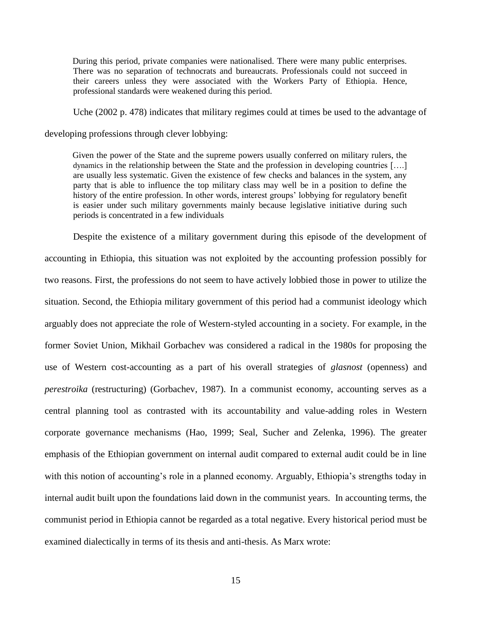During this period, private companies were nationalised. There were many public enterprises. There was no separation of technocrats and bureaucrats. Professionals could not succeed in their careers unless they were associated with the Workers Party of Ethiopia. Hence, professional standards were weakened during this period.

Uche (2002 p. 478) indicates that military regimes could at times be used to the advantage of

developing professions through clever lobbying:

Given the power of the State and the supreme powers usually conferred on military rulers, the dynamics in the relationship between the State and the profession in developing countries [….] are usually less systematic. Given the existence of few checks and balances in the system, any party that is able to influence the top military class may well be in a position to define the history of the entire profession. In other words, interest groups' lobbying for regulatory benefit is easier under such military governments mainly because legislative initiative during such periods is concentrated in a few individuals

Despite the existence of a military government during this episode of the development of accounting in Ethiopia, this situation was not exploited by the accounting profession possibly for two reasons. First, the professions do not seem to have actively lobbied those in power to utilize the situation. Second, the Ethiopia military government of this period had a communist ideology which arguably does not appreciate the role of Western-styled accounting in a society. For example, in the former Soviet Union, Mikhail Gorbachev was considered a radical in the 1980s for proposing the use of Western cost-accounting as a part of his overall strategies of *glasnost* (openness) and *perestroika* (restructuring) (Gorbachev, 1987). In a communist economy, accounting serves as a central planning tool as contrasted with its accountability and value-adding roles in Western corporate governance mechanisms (Hao, 1999; Seal, Sucher and Zelenka, 1996). The greater emphasis of the Ethiopian government on internal audit compared to external audit could be in line with this notion of accounting's role in a planned economy. Arguably, Ethiopia's strengths today in internal audit built upon the foundations laid down in the communist years. In accounting terms, the communist period in Ethiopia cannot be regarded as a total negative. Every historical period must be examined dialectically in terms of its thesis and anti-thesis. As Marx wrote: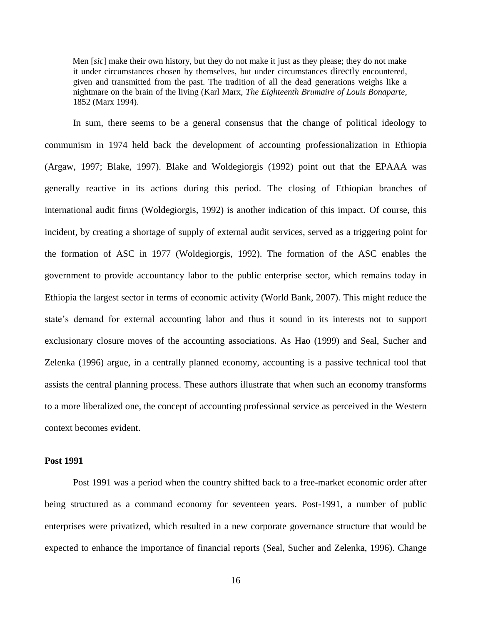Men [*sic*] make their own history, but they do not make it just as they please; they do not make it under circumstances chosen by themselves, but under circumstances directly encountered, given and transmitted from the past. The tradition of all the dead generations weighs like a nightmare on the brain of the living (Karl Marx, *The Eighteenth Brumaire of Louis Bonaparte*, 1852 (Marx 1994).

In sum, there seems to be a general consensus that the change of political ideology to communism in 1974 held back the development of accounting professionalization in Ethiopia (Argaw, 1997; Blake, 1997). Blake and Woldegiorgis (1992) point out that the EPAAA was generally reactive in its actions during this period. The closing of Ethiopian branches of international audit firms (Woldegiorgis, 1992) is another indication of this impact. Of course, this incident, by creating a shortage of supply of external audit services, served as a triggering point for the formation of ASC in 1977 (Woldegiorgis, 1992). The formation of the ASC enables the government to provide accountancy labor to the public enterprise sector, which remains today in Ethiopia the largest sector in terms of economic activity (World Bank, 2007). This might reduce the state's demand for external accounting labor and thus it sound in its interests not to support exclusionary closure moves of the accounting associations. As Hao (1999) and Seal, Sucher and Zelenka (1996) argue, in a centrally planned economy, accounting is a passive technical tool that assists the central planning process. These authors illustrate that when such an economy transforms to a more liberalized one, the concept of accounting professional service as perceived in the Western context becomes evident.

#### **Post 1991**

Post 1991 was a period when the country shifted back to a free-market economic order after being structured as a command economy for seventeen years. Post-1991, a number of public enterprises were privatized, which resulted in a new corporate governance structure that would be expected to enhance the importance of financial reports (Seal, Sucher and Zelenka, 1996). Change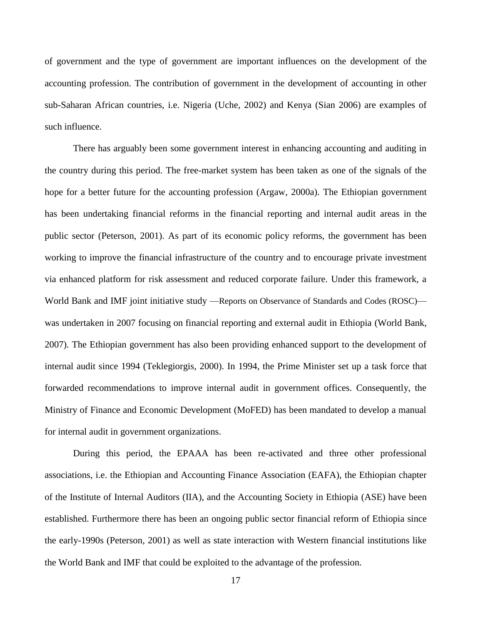of government and the type of government are important influences on the development of the accounting profession. The contribution of government in the development of accounting in other sub-Saharan African countries, i.e. Nigeria (Uche, 2002) and Kenya (Sian 2006) are examples of such influence.

There has arguably been some government interest in enhancing accounting and auditing in the country during this period. The free-market system has been taken as one of the signals of the hope for a better future for the accounting profession (Argaw, 2000a). The Ethiopian government has been undertaking financial reforms in the financial reporting and internal audit areas in the public sector (Peterson, 2001). As part of its economic policy reforms, the government has been working to improve the financial infrastructure of the country and to encourage private investment via enhanced platform for risk assessment and reduced corporate failure. Under this framework, a World Bank and IMF joint initiative study —Reports on Observance of Standards and Codes (ROSC) was undertaken in 2007 focusing on financial reporting and external audit in Ethiopia (World Bank, 2007). The Ethiopian government has also been providing enhanced support to the development of internal audit since 1994 (Teklegiorgis, 2000). In 1994, the Prime Minister set up a task force that forwarded recommendations to improve internal audit in government offices. Consequently, the Ministry of Finance and Economic Development (MoFED) has been mandated to develop a manual for internal audit in government organizations.

During this period, the EPAAA has been re-activated and three other professional associations, i.e. the Ethiopian and Accounting Finance Association (EAFA), the Ethiopian chapter of the Institute of Internal Auditors (IIA), and the Accounting Society in Ethiopia (ASE) have been established. Furthermore there has been an ongoing public sector financial reform of Ethiopia since the early-1990s (Peterson, 2001) as well as state interaction with Western financial institutions like the World Bank and IMF that could be exploited to the advantage of the profession.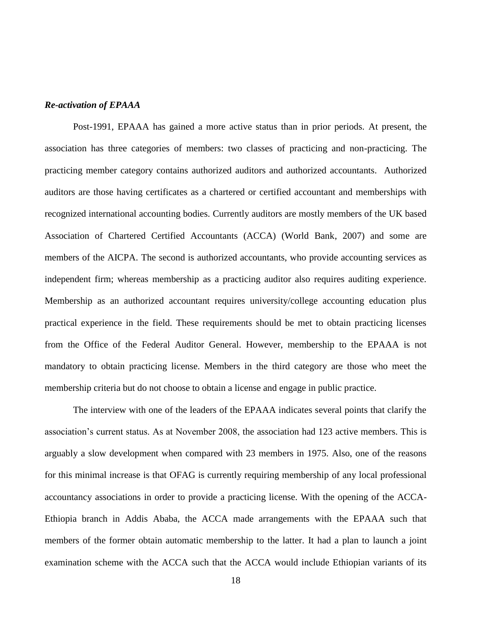## *Re-activation of EPAAA*

Post-1991, EPAAA has gained a more active status than in prior periods. At present, the association has three categories of members: two classes of practicing and non-practicing. The practicing member category contains authorized auditors and authorized accountants. Authorized auditors are those having certificates as a chartered or certified accountant and memberships with recognized international accounting bodies. Currently auditors are mostly members of the UK based Association of Chartered Certified Accountants (ACCA) (World Bank, 2007) and some are members of the AICPA. The second is authorized accountants, who provide accounting services as independent firm; whereas membership as a practicing auditor also requires auditing experience. Membership as an authorized accountant requires university/college accounting education plus practical experience in the field. These requirements should be met to obtain practicing licenses from the Office of the Federal Auditor General. However, membership to the EPAAA is not mandatory to obtain practicing license. Members in the third category are those who meet the membership criteria but do not choose to obtain a license and engage in public practice.

The interview with one of the leaders of the EPAAA indicates several points that clarify the association's current status. As at November 2008, the association had 123 active members. This is arguably a slow development when compared with 23 members in 1975. Also, one of the reasons for this minimal increase is that OFAG is currently requiring membership of any local professional accountancy associations in order to provide a practicing license. With the opening of the ACCA-Ethiopia branch in Addis Ababa, the ACCA made arrangements with the EPAAA such that members of the former obtain automatic membership to the latter. It had a plan to launch a joint examination scheme with the ACCA such that the ACCA would include Ethiopian variants of its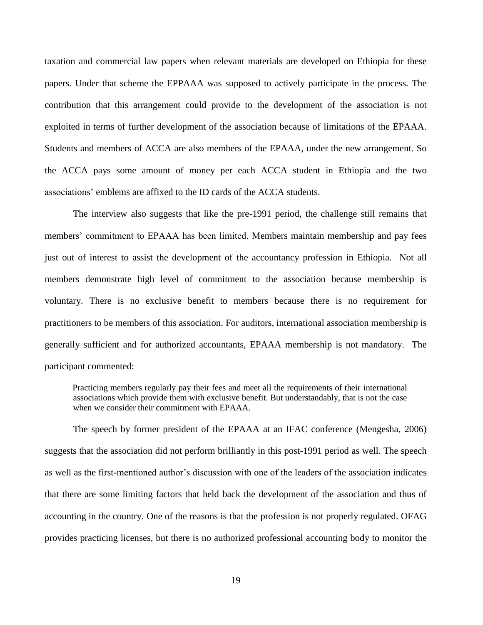taxation and commercial law papers when relevant materials are developed on Ethiopia for these papers. Under that scheme the EPPAAA was supposed to actively participate in the process. The contribution that this arrangement could provide to the development of the association is not exploited in terms of further development of the association because of limitations of the EPAAA. Students and members of ACCA are also members of the EPAAA, under the new arrangement. So the ACCA pays some amount of money per each ACCA student in Ethiopia and the two associations' emblems are affixed to the ID cards of the ACCA students.

The interview also suggests that like the pre-1991 period, the challenge still remains that members' commitment to EPAAA has been limited. Members maintain membership and pay fees just out of interest to assist the development of the accountancy profession in Ethiopia. Not all members demonstrate high level of commitment to the association because membership is voluntary. There is no exclusive benefit to members because there is no requirement for practitioners to be members of this association. For auditors, international association membership is generally sufficient and for authorized accountants, EPAAA membership is not mandatory. The participant commented:

Practicing members regularly pay their fees and meet all the requirements of their international associations which provide them with exclusive benefit. But understandably, that is not the case when we consider their commitment with EPAAA.

The speech by former president of the EPAAA at an IFAC conference (Mengesha, 2006) suggests that the association did not perform brilliantly in this post-1991 period as well. The speech as well as the first-mentioned author's discussion with one of the leaders of the association indicates that there are some limiting factors that held back the development of the association and thus of accounting in the country. One of the reasons is that the profession is not properly regulated. OFAG provides practicing licenses, but there is no authorized professional accounting body to monitor the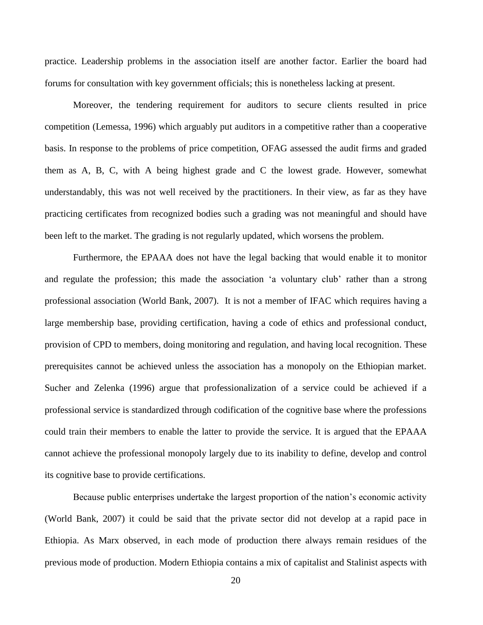practice. Leadership problems in the association itself are another factor. Earlier the board had forums for consultation with key government officials; this is nonetheless lacking at present.

Moreover, the tendering requirement for auditors to secure clients resulted in price competition (Lemessa, 1996) which arguably put auditors in a competitive rather than a cooperative basis. In response to the problems of price competition, OFAG assessed the audit firms and graded them as A, B, C, with A being highest grade and C the lowest grade. However, somewhat understandably, this was not well received by the practitioners. In their view, as far as they have practicing certificates from recognized bodies such a grading was not meaningful and should have been left to the market. The grading is not regularly updated, which worsens the problem.

Furthermore, the EPAAA does not have the legal backing that would enable it to monitor and regulate the profession; this made the association 'a voluntary club' rather than a strong professional association (World Bank, 2007). It is not a member of IFAC which requires having a large membership base, providing certification, having a code of ethics and professional conduct, provision of CPD to members, doing monitoring and regulation, and having local recognition. These prerequisites cannot be achieved unless the association has a monopoly on the Ethiopian market. Sucher and Zelenka (1996) argue that professionalization of a service could be achieved if a professional service is standardized through codification of the cognitive base where the professions could train their members to enable the latter to provide the service. It is argued that the EPAAA cannot achieve the professional monopoly largely due to its inability to define, develop and control its cognitive base to provide certifications.

Because public enterprises undertake the largest proportion of the nation's economic activity (World Bank, 2007) it could be said that the private sector did not develop at a rapid pace in Ethiopia. As Marx observed, in each mode of production there always remain residues of the previous mode of production. Modern Ethiopia contains a mix of capitalist and Stalinist aspects with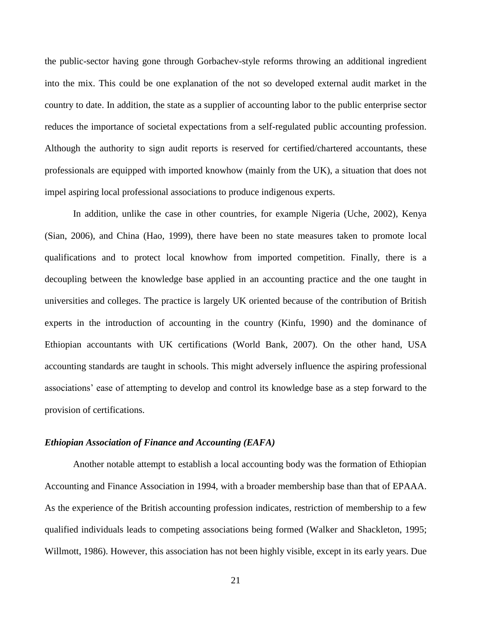the public-sector having gone through Gorbachev-style reforms throwing an additional ingredient into the mix. This could be one explanation of the not so developed external audit market in the country to date. In addition, the state as a supplier of accounting labor to the public enterprise sector reduces the importance of societal expectations from a self-regulated public accounting profession. Although the authority to sign audit reports is reserved for certified/chartered accountants, these professionals are equipped with imported knowhow (mainly from the UK), a situation that does not impel aspiring local professional associations to produce indigenous experts.

In addition, unlike the case in other countries, for example Nigeria (Uche, 2002), Kenya (Sian, 2006), and China (Hao, 1999), there have been no state measures taken to promote local qualifications and to protect local knowhow from imported competition. Finally, there is a decoupling between the knowledge base applied in an accounting practice and the one taught in universities and colleges. The practice is largely UK oriented because of the contribution of British experts in the introduction of accounting in the country (Kinfu, 1990) and the dominance of Ethiopian accountants with UK certifications (World Bank, 2007). On the other hand, USA accounting standards are taught in schools. This might adversely influence the aspiring professional associations' ease of attempting to develop and control its knowledge base as a step forward to the provision of certifications.

## *Ethiopian Association of Finance and Accounting (EAFA)*

Another notable attempt to establish a local accounting body was the formation of Ethiopian Accounting and Finance Association in 1994, with a broader membership base than that of EPAAA. As the experience of the British accounting profession indicates, restriction of membership to a few qualified individuals leads to competing associations being formed (Walker and Shackleton, 1995; Willmott, 1986). However, this association has not been highly visible, except in its early years. Due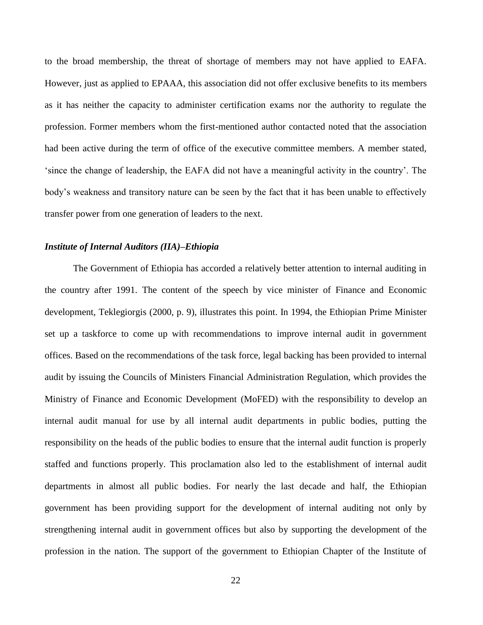to the broad membership, the threat of shortage of members may not have applied to EAFA. However, just as applied to EPAAA, this association did not offer exclusive benefits to its members as it has neither the capacity to administer certification exams nor the authority to regulate the profession. Former members whom the first-mentioned author contacted noted that the association had been active during the term of office of the executive committee members. A member stated, ‗since the change of leadership, the EAFA did not have a meaningful activity in the country'. The body's weakness and transitory nature can be seen by the fact that it has been unable to effectively transfer power from one generation of leaders to the next.

## *Institute of Internal Auditors (IIA)–Ethiopia*

The Government of Ethiopia has accorded a relatively better attention to internal auditing in the country after 1991. The content of the speech by vice minister of Finance and Economic development, Teklegiorgis (2000, p. 9), illustrates this point. In 1994, the Ethiopian Prime Minister set up a taskforce to come up with recommendations to improve internal audit in government offices. Based on the recommendations of the task force, legal backing has been provided to internal audit by issuing the Councils of Ministers Financial Administration Regulation, which provides the Ministry of Finance and Economic Development (MoFED) with the responsibility to develop an internal audit manual for use by all internal audit departments in public bodies, putting the responsibility on the heads of the public bodies to ensure that the internal audit function is properly staffed and functions properly. This proclamation also led to the establishment of internal audit departments in almost all public bodies. For nearly the last decade and half, the Ethiopian government has been providing support for the development of internal auditing not only by strengthening internal audit in government offices but also by supporting the development of the profession in the nation. The support of the government to Ethiopian Chapter of the Institute of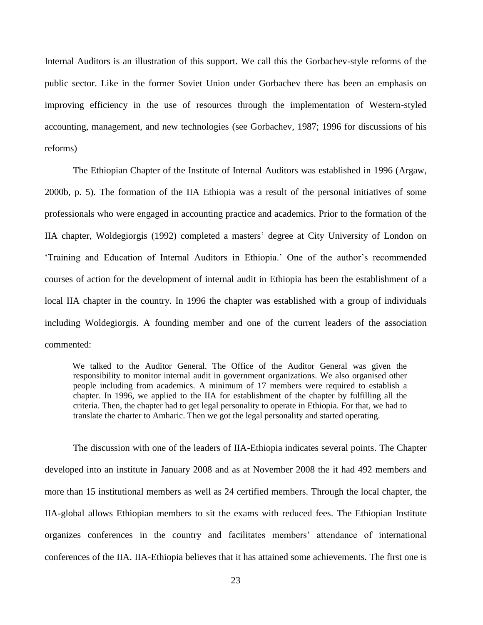Internal Auditors is an illustration of this support. We call this the Gorbachev-style reforms of the public sector. Like in the former Soviet Union under Gorbachev there has been an emphasis on improving efficiency in the use of resources through the implementation of Western-styled accounting, management, and new technologies (see Gorbachev, 1987; 1996 for discussions of his reforms)

The Ethiopian Chapter of the Institute of Internal Auditors was established in 1996 (Argaw, 2000b, p. 5). The formation of the IIA Ethiopia was a result of the personal initiatives of some professionals who were engaged in accounting practice and academics. Prior to the formation of the IIA chapter, Woldegiorgis (1992) completed a masters' degree at City University of London on ‗Training and Education of Internal Auditors in Ethiopia.' One of the author's recommended courses of action for the development of internal audit in Ethiopia has been the establishment of a local IIA chapter in the country. In 1996 the chapter was established with a group of individuals including Woldegiorgis. A founding member and one of the current leaders of the association commented:

We talked to the Auditor General. The Office of the Auditor General was given the responsibility to monitor internal audit in government organizations. We also organised other people including from academics. A minimum of 17 members were required to establish a chapter. In 1996, we applied to the IIA for establishment of the chapter by fulfilling all the criteria. Then, the chapter had to get legal personality to operate in Ethiopia. For that, we had to translate the charter to Amharic. Then we got the legal personality and started operating.

The discussion with one of the leaders of IIA-Ethiopia indicates several points. The Chapter developed into an institute in January 2008 and as at November 2008 the it had 492 members and more than 15 institutional members as well as 24 certified members. Through the local chapter, the IIA-global allows Ethiopian members to sit the exams with reduced fees. The Ethiopian Institute organizes conferences in the country and facilitates members' attendance of international conferences of the IIA. IIA-Ethiopia believes that it has attained some achievements. The first one is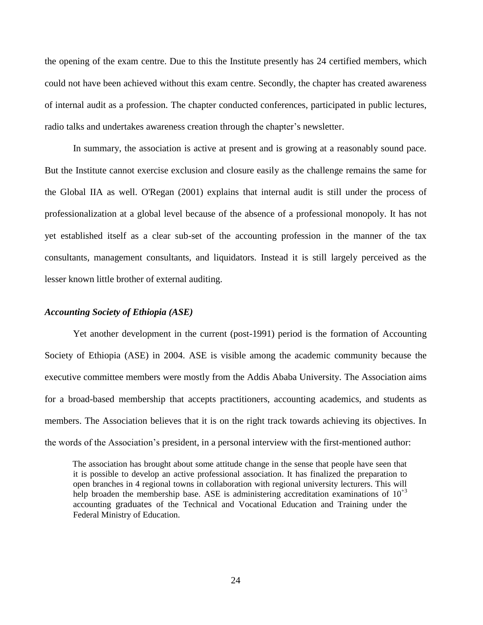the opening of the exam centre. Due to this the Institute presently has 24 certified members, which could not have been achieved without this exam centre. Secondly, the chapter has created awareness of internal audit as a profession. The chapter conducted conferences, participated in public lectures, radio talks and undertakes awareness creation through the chapter's newsletter.

In summary, the association is active at present and is growing at a reasonably sound pace. But the Institute cannot exercise exclusion and closure easily as the challenge remains the same for the Global IIA as well. O'Regan (2001) explains that internal audit is still under the process of professionalization at a global level because of the absence of a professional monopoly. It has not yet established itself as a clear sub-set of the accounting profession in the manner of the tax consultants, management consultants, and liquidators. Instead it is still largely perceived as the lesser known little brother of external auditing.

## *Accounting Society of Ethiopia (ASE)*

Yet another development in the current (post-1991) period is the formation of Accounting Society of Ethiopia (ASE) in 2004. ASE is visible among the academic community because the executive committee members were mostly from the Addis Ababa University. The Association aims for a broad-based membership that accepts practitioners, accounting academics, and students as members. The Association believes that it is on the right track towards achieving its objectives. In the words of the Association's president, in a personal interview with the first-mentioned author:

The association has brought about some attitude change in the sense that people have seen that it is possible to develop an active professional association. It has finalized the preparation to open branches in 4 regional towns in collaboration with regional university lecturers. This will help broaden the membership base. ASE is administering accreditation examinations of  $10^{+3}$ accounting graduates of the Technical and Vocational Education and Training under the Federal Ministry of Education.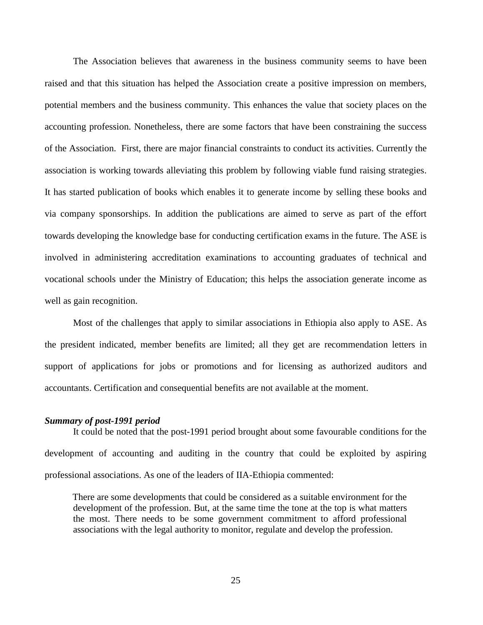The Association believes that awareness in the business community seems to have been raised and that this situation has helped the Association create a positive impression on members, potential members and the business community. This enhances the value that society places on the accounting profession. Nonetheless, there are some factors that have been constraining the success of the Association. First, there are major financial constraints to conduct its activities. Currently the association is working towards alleviating this problem by following viable fund raising strategies. It has started publication of books which enables it to generate income by selling these books and via company sponsorships. In addition the publications are aimed to serve as part of the effort towards developing the knowledge base for conducting certification exams in the future. The ASE is involved in administering accreditation examinations to accounting graduates of technical and vocational schools under the Ministry of Education; this helps the association generate income as well as gain recognition.

Most of the challenges that apply to similar associations in Ethiopia also apply to ASE. As the president indicated, member benefits are limited; all they get are recommendation letters in support of applications for jobs or promotions and for licensing as authorized auditors and accountants. Certification and consequential benefits are not available at the moment.

#### *Summary of post-1991 period*

It could be noted that the post-1991 period brought about some favourable conditions for the development of accounting and auditing in the country that could be exploited by aspiring professional associations. As one of the leaders of IIA-Ethiopia commented:

There are some developments that could be considered as a suitable environment for the development of the profession. But, at the same time the tone at the top is what matters the most. There needs to be some government commitment to afford professional associations with the legal authority to monitor, regulate and develop the profession.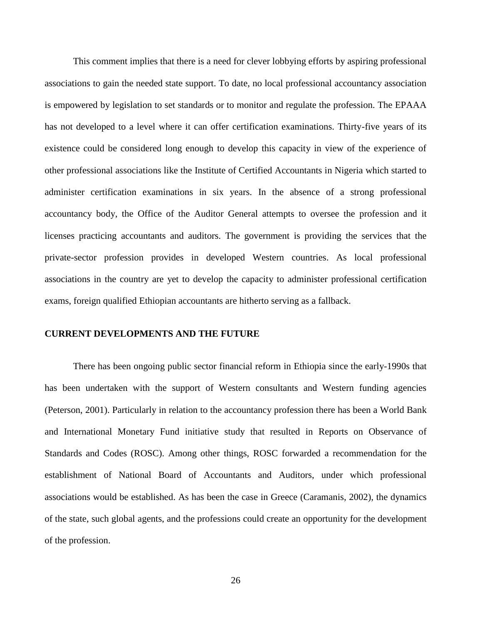This comment implies that there is a need for clever lobbying efforts by aspiring professional associations to gain the needed state support. To date, no local professional accountancy association is empowered by legislation to set standards or to monitor and regulate the profession. The EPAAA has not developed to a level where it can offer certification examinations. Thirty-five years of its existence could be considered long enough to develop this capacity in view of the experience of other professional associations like the Institute of Certified Accountants in Nigeria which started to administer certification examinations in six years. In the absence of a strong professional accountancy body, the Office of the Auditor General attempts to oversee the profession and it licenses practicing accountants and auditors. The government is providing the services that the private-sector profession provides in developed Western countries. As local professional associations in the country are yet to develop the capacity to administer professional certification exams, foreign qualified Ethiopian accountants are hitherto serving as a fallback.

## **CURRENT DEVELOPMENTS AND THE FUTURE**

There has been ongoing public sector financial reform in Ethiopia since the early-1990s that has been undertaken with the support of Western consultants and Western funding agencies (Peterson, 2001). Particularly in relation to the accountancy profession there has been a World Bank and International Monetary Fund initiative study that resulted in Reports on Observance of Standards and Codes (ROSC). Among other things, ROSC forwarded a recommendation for the establishment of National Board of Accountants and Auditors, under which professional associations would be established. As has been the case in Greece (Caramanis, 2002), the dynamics of the state, such global agents, and the professions could create an opportunity for the development of the profession.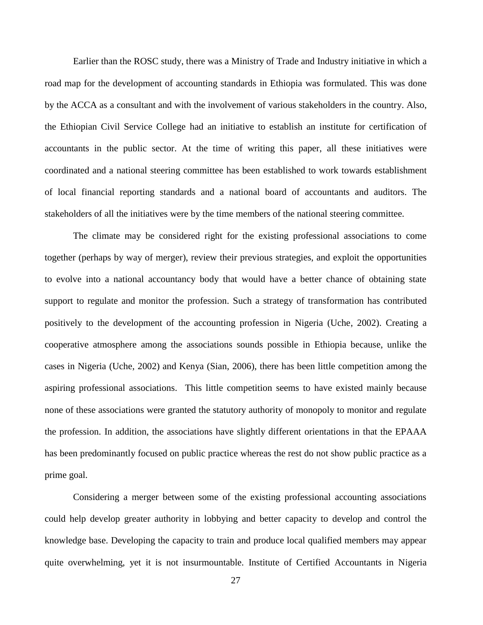Earlier than the ROSC study, there was a Ministry of Trade and Industry initiative in which a road map for the development of accounting standards in Ethiopia was formulated. This was done by the ACCA as a consultant and with the involvement of various stakeholders in the country. Also, the Ethiopian Civil Service College had an initiative to establish an institute for certification of accountants in the public sector. At the time of writing this paper, all these initiatives were coordinated and a national steering committee has been established to work towards establishment of local financial reporting standards and a national board of accountants and auditors. The stakeholders of all the initiatives were by the time members of the national steering committee.

The climate may be considered right for the existing professional associations to come together (perhaps by way of merger), review their previous strategies, and exploit the opportunities to evolve into a national accountancy body that would have a better chance of obtaining state support to regulate and monitor the profession. Such a strategy of transformation has contributed positively to the development of the accounting profession in Nigeria (Uche, 2002). Creating a cooperative atmosphere among the associations sounds possible in Ethiopia because, unlike the cases in Nigeria (Uche, 2002) and Kenya (Sian, 2006), there has been little competition among the aspiring professional associations. This little competition seems to have existed mainly because none of these associations were granted the statutory authority of monopoly to monitor and regulate the profession. In addition, the associations have slightly different orientations in that the EPAAA has been predominantly focused on public practice whereas the rest do not show public practice as a prime goal.

Considering a merger between some of the existing professional accounting associations could help develop greater authority in lobbying and better capacity to develop and control the knowledge base. Developing the capacity to train and produce local qualified members may appear quite overwhelming, yet it is not insurmountable. Institute of Certified Accountants in Nigeria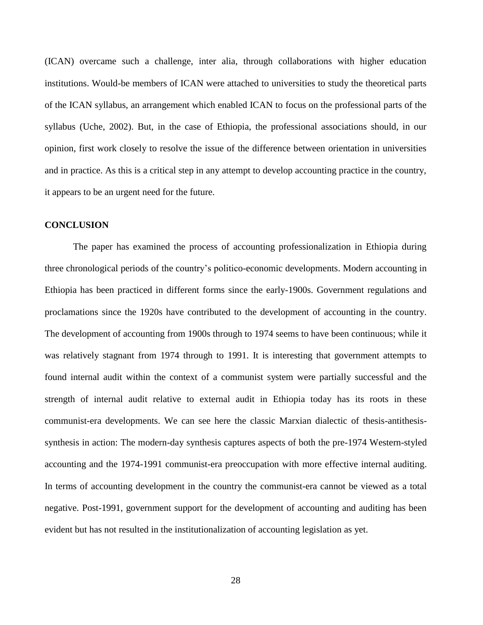(ICAN) overcame such a challenge, inter alia, through collaborations with higher education institutions. Would-be members of ICAN were attached to universities to study the theoretical parts of the ICAN syllabus, an arrangement which enabled ICAN to focus on the professional parts of the syllabus (Uche, 2002). But, in the case of Ethiopia, the professional associations should, in our opinion, first work closely to resolve the issue of the difference between orientation in universities and in practice. As this is a critical step in any attempt to develop accounting practice in the country, it appears to be an urgent need for the future.

#### **CONCLUSION**

The paper has examined the process of accounting professionalization in Ethiopia during three chronological periods of the country's politico-economic developments. Modern accounting in Ethiopia has been practiced in different forms since the early-1900s. Government regulations and proclamations since the 1920s have contributed to the development of accounting in the country. The development of accounting from 1900s through to 1974 seems to have been continuous; while it was relatively stagnant from 1974 through to 1991. It is interesting that government attempts to found internal audit within the context of a communist system were partially successful and the strength of internal audit relative to external audit in Ethiopia today has its roots in these communist-era developments. We can see here the classic Marxian dialectic of thesis-antithesissynthesis in action: The modern-day synthesis captures aspects of both the pre-1974 Western-styled accounting and the 1974-1991 communist-era preoccupation with more effective internal auditing. In terms of accounting development in the country the communist-era cannot be viewed as a total negative. Post-1991, government support for the development of accounting and auditing has been evident but has not resulted in the institutionalization of accounting legislation as yet.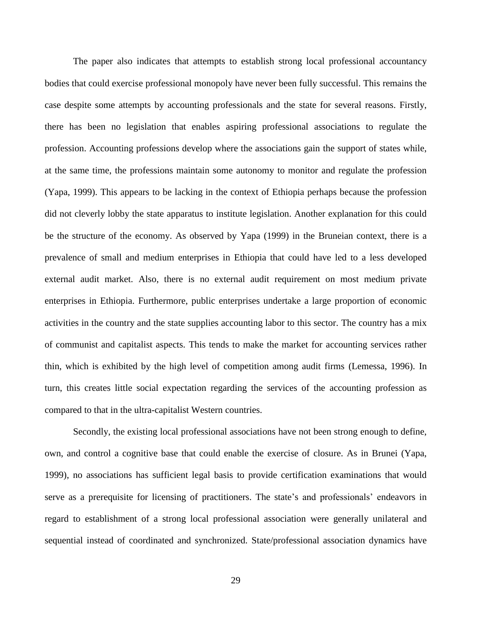The paper also indicates that attempts to establish strong local professional accountancy bodies that could exercise professional monopoly have never been fully successful. This remains the case despite some attempts by accounting professionals and the state for several reasons. Firstly, there has been no legislation that enables aspiring professional associations to regulate the profession. Accounting professions develop where the associations gain the support of states while, at the same time, the professions maintain some autonomy to monitor and regulate the profession (Yapa, 1999). This appears to be lacking in the context of Ethiopia perhaps because the profession did not cleverly lobby the state apparatus to institute legislation. Another explanation for this could be the structure of the economy. As observed by Yapa (1999) in the Bruneian context, there is a prevalence of small and medium enterprises in Ethiopia that could have led to a less developed external audit market. Also, there is no external audit requirement on most medium private enterprises in Ethiopia. Furthermore, public enterprises undertake a large proportion of economic activities in the country and the state supplies accounting labor to this sector. The country has a mix of communist and capitalist aspects. This tends to make the market for accounting services rather thin, which is exhibited by the high level of competition among audit firms (Lemessa, 1996). In turn, this creates little social expectation regarding the services of the accounting profession as compared to that in the ultra-capitalist Western countries.

Secondly, the existing local professional associations have not been strong enough to define, own, and control a cognitive base that could enable the exercise of closure. As in Brunei (Yapa, 1999), no associations has sufficient legal basis to provide certification examinations that would serve as a prerequisite for licensing of practitioners. The state's and professionals' endeavors in regard to establishment of a strong local professional association were generally unilateral and sequential instead of coordinated and synchronized. State/professional association dynamics have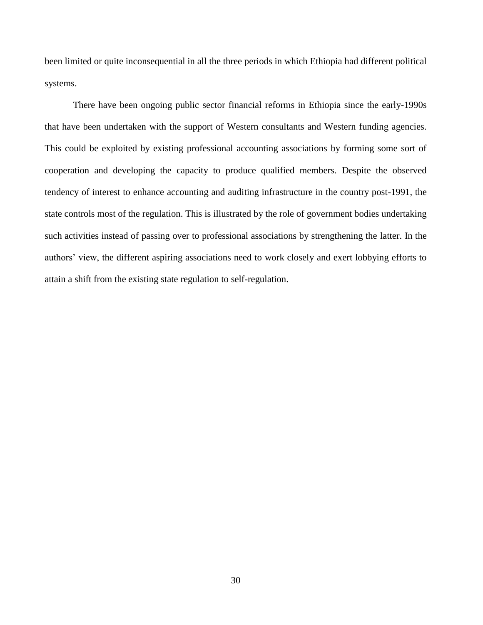been limited or quite inconsequential in all the three periods in which Ethiopia had different political systems.

There have been ongoing public sector financial reforms in Ethiopia since the early-1990s that have been undertaken with the support of Western consultants and Western funding agencies. This could be exploited by existing professional accounting associations by forming some sort of cooperation and developing the capacity to produce qualified members. Despite the observed tendency of interest to enhance accounting and auditing infrastructure in the country post-1991, the state controls most of the regulation. This is illustrated by the role of government bodies undertaking such activities instead of passing over to professional associations by strengthening the latter. In the authors' view, the different aspiring associations need to work closely and exert lobbying efforts to attain a shift from the existing state regulation to self-regulation.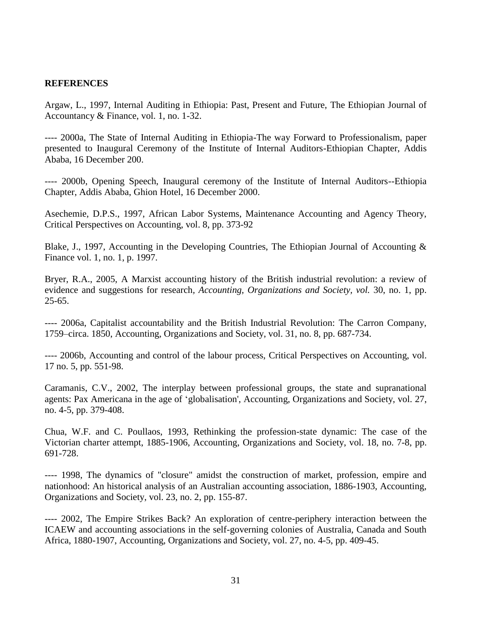## **REFERENCES**

Argaw, L., 1997, Internal Auditing in Ethiopia: Past, Present and Future, The Ethiopian Journal of Accountancy & Finance, vol. 1, no. 1-32.

---- 2000a, The State of Internal Auditing in Ethiopia-The way Forward to Professionalism, paper presented to Inaugural Ceremony of the Institute of Internal Auditors-Ethiopian Chapter, Addis Ababa, 16 December 200.

---- 2000b, Opening Speech, Inaugural ceremony of the Institute of Internal Auditors--Ethiopia Chapter, Addis Ababa, Ghion Hotel, 16 December 2000.

Asechemie, D.P.S., 1997, African Labor Systems, Maintenance Accounting and Agency Theory, Critical Perspectives on Accounting, vol. 8, pp. 373-92

Blake, J., 1997, Accounting in the Developing Countries, The Ethiopian Journal of Accounting & Finance vol. 1, no. 1, p. 1997.

Bryer, R.A., 2005, A Marxist accounting history of the British industrial revolution: a review of evidence and suggestions for research*, Accounting, Organizations and Society, vol.* 30, no. 1, pp. 25-65.

---- 2006a, Capitalist accountability and the British Industrial Revolution: The Carron Company, 1759–circa. 1850, Accounting, Organizations and Society, vol. 31, no. 8, pp. 687-734.

---- 2006b, Accounting and control of the labour process, Critical Perspectives on Accounting, vol. 17 no. 5, pp. 551-98.

Caramanis, C.V., 2002, The interplay between professional groups, the state and supranational agents: Pax Americana in the age of ‗globalisation', Accounting, Organizations and Society, vol. 27, no. 4-5, pp. 379-408.

Chua, W.F. and C. Poullaos, 1993, Rethinking the profession-state dynamic: The case of the Victorian charter attempt, 1885-1906, Accounting, Organizations and Society, vol. 18, no. 7-8, pp. 691-728.

---- 1998, The dynamics of "closure" amidst the construction of market, profession, empire and nationhood: An historical analysis of an Australian accounting association, 1886-1903, Accounting, Organizations and Society, vol. 23, no. 2, pp. 155-87.

---- 2002, The Empire Strikes Back? An exploration of centre-periphery interaction between the ICAEW and accounting associations in the self-governing colonies of Australia, Canada and South Africa, 1880-1907, Accounting, Organizations and Society, vol. 27, no. 4-5, pp. 409-45.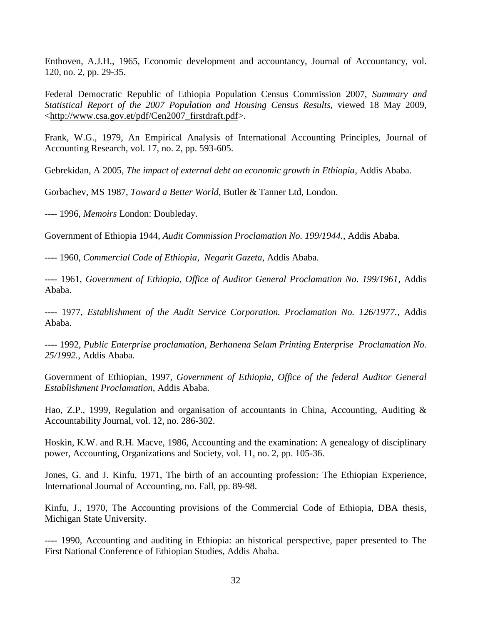Enthoven, A.J.H., 1965, Economic development and accountancy, Journal of Accountancy, vol. 120, no. 2, pp. 29-35.

Federal Democratic Republic of Ethiopia Population Census Commission 2007, *Summary and Statistical Report of the 2007 Population and Housing Census Results,* viewed 18 May 2009, [<http://www.csa.gov.et/pdf/Cen2007\\_firstdraft.pdf>](http://www.csa.gov.et/pdf/Cen2007_firstdraft.pdf).

Frank, W.G., 1979, An Empirical Analysis of International Accounting Principles, Journal of Accounting Research, vol. 17, no. 2, pp. 593-605.

Gebrekidan, A 2005, *The impact of external debt on economic growth in Ethiopia*, Addis Ababa.

Gorbachev, MS 1987, *Toward a Better World*, Butler & Tanner Ltd, London.

---- 1996, *Memoirs* London: Doubleday.

Government of Ethiopia 1944, *Audit Commission Proclamation No. 199/1944.*, Addis Ababa.

---- 1960, *Commercial Code of Ethiopia*, *Negarit Gazeta*, Addis Ababa.

---- 1961, *Government of Ethiopia, Office of Auditor General Proclamation No. 199/1961*, Addis Ababa.

---- 1977, *Establishment of the Audit Service Corporation. Proclamation No. 126/1977.*, Addis Ababa.

---- 1992, *Public Enterprise proclamation, Berhanena Selam Printing Enterprise Proclamation No. 25/1992.*, Addis Ababa.

Government of Ethiopian, 1997, *Government of Ethiopia, Office of the federal Auditor General Establishment Proclamation*, Addis Ababa.

Hao, Z.P., 1999, Regulation and organisation of accountants in China, Accounting, Auditing & Accountability Journal, vol. 12, no. 286-302.

Hoskin, K.W. and R.H. Macve, 1986, Accounting and the examination: A genealogy of disciplinary power, Accounting, Organizations and Society, vol. 11, no. 2, pp. 105-36.

Jones, G. and J. Kinfu, 1971, The birth of an accounting profession: The Ethiopian Experience, International Journal of Accounting, no. Fall, pp. 89-98.

Kinfu, J., 1970, The Accounting provisions of the Commercial Code of Ethiopia, DBA thesis, Michigan State University.

---- 1990, Accounting and auditing in Ethiopia: an historical perspective, paper presented to The First National Conference of Ethiopian Studies, Addis Ababa.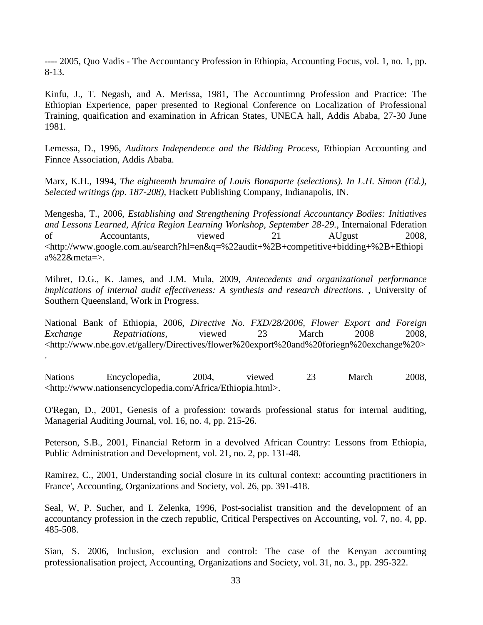---- 2005, Quo Vadis - The Accountancy Profession in Ethiopia, Accounting Focus, vol. 1, no. 1, pp. 8-13.

Kinfu, J., T. Negash, and A. Merissa, 1981, The Accountimng Profession and Practice: The Ethiopian Experience, paper presented to Regional Conference on Localization of Professional Training, quaification and examination in African States, UNECA hall, Addis Ababa, 27-30 June 1981.

Lemessa, D., 1996, *Auditors Independence and the Bidding Process*, Ethiopian Accounting and Finnce Association, Addis Ababa.

Marx, K.H., 1994, *The eighteenth brumaire of Louis Bonaparte (selections). In L.H. Simon (Ed.), Selected writings (pp. 187-208)*, Hackett Publishing Company, Indianapolis, IN.

Mengesha, T., 2006, *Establishing and Strengthening Professional Accountancy Bodies: Initiatives and Lessons Learned, Africa Region Learning Workshop, September 28-29.*, Internaional Fderation of Accountants, viewed 21 AUgust 2008, <http://www.google.com.au/search?hl=en&q=%22audit+%2B+competitive+bidding+%2B+Ethiopi a%22&meta=>.

Mihret, D.G., K. James, and J.M. Mula, 2009, *Antecedents and organizational performance implications of internal audit effectiveness: A synthesis and research directions.* , University of Southern Queensland, Work in Progress.

National Bank of Ethiopia, 2006, *Directive No. FXD/28/2006, Flower Export and Foreign Exchange Repatriations*, viewed 23 March 2008 2008, <http://www.nbe.gov.et/gallery/Directives/flower%20export%20and%20foriegn%20exchange%20> .

Nations Encyclopedia, 2004, viewed 23 March 2008, <http://www.nationsencyclopedia.com/Africa/Ethiopia.html>.

O'Regan, D., 2001, Genesis of a profession: towards professional status for internal auditing, Managerial Auditing Journal, vol. 16, no. 4, pp. 215-26.

Peterson, S.B., 2001, Financial Reform in a devolved African Country: Lessons from Ethiopia, Public Administration and Development, vol. 21, no. 2, pp. 131-48.

Ramirez, C., 2001, Understanding social closure in its cultural context: accounting practitioners in France', Accounting, Organizations and Society, vol. 26, pp. 391-418.

Seal, W, P. Sucher, and I. Zelenka, 1996, Post-socialist transition and the development of an accountancy profession in the czech republic, Critical Perspectives on Accounting, vol. 7, no. 4, pp. 485-508.

Sian, S. 2006, Inclusion, exclusion and control: The case of the Kenyan accounting professionalisation project, Accounting, Organizations and Society, vol. 31, no. 3., pp. 295-322.